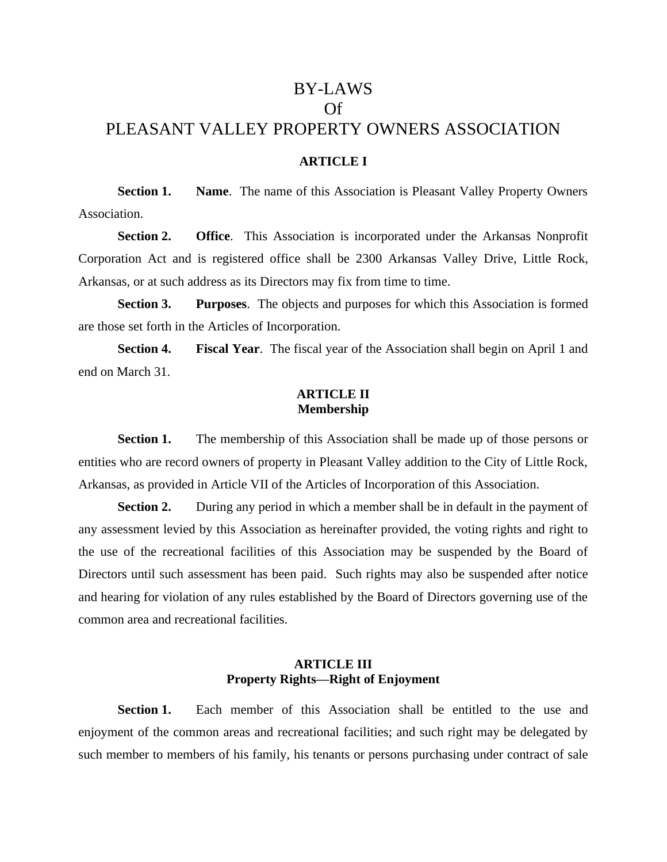# BY-LAWS Of PLEASANT VALLEY PROPERTY OWNERS ASSOCIATION

# **ARTICLE I**

**Section 1. Name**. The name of this Association is Pleasant Valley Property Owners Association.

**Section 2. Office**. This Association is incorporated under the Arkansas Nonprofit Corporation Act and is registered office shall be 2300 Arkansas Valley Drive, Little Rock, Arkansas, or at such address as its Directors may fix from time to time.

**Section 3. Purposes**. The objects and purposes for which this Association is formed are those set forth in the Articles of Incorporation.

**Section 4. Fiscal Year**. The fiscal year of the Association shall begin on April 1 and end on March 31.

#### **ARTICLE II Membership**

**Section 1.** The membership of this Association shall be made up of those persons or entities who are record owners of property in Pleasant Valley addition to the City of Little Rock, Arkansas, as provided in Article VII of the Articles of Incorporation of this Association.

**Section 2.** During any period in which a member shall be in default in the payment of any assessment levied by this Association as hereinafter provided, the voting rights and right to the use of the recreational facilities of this Association may be suspended by the Board of Directors until such assessment has been paid. Such rights may also be suspended after notice and hearing for violation of any rules established by the Board of Directors governing use of the common area and recreational facilities.

# **ARTICLE III Property Rights—Right of Enjoyment**

**Section 1.** Each member of this Association shall be entitled to the use and enjoyment of the common areas and recreational facilities; and such right may be delegated by such member to members of his family, his tenants or persons purchasing under contract of sale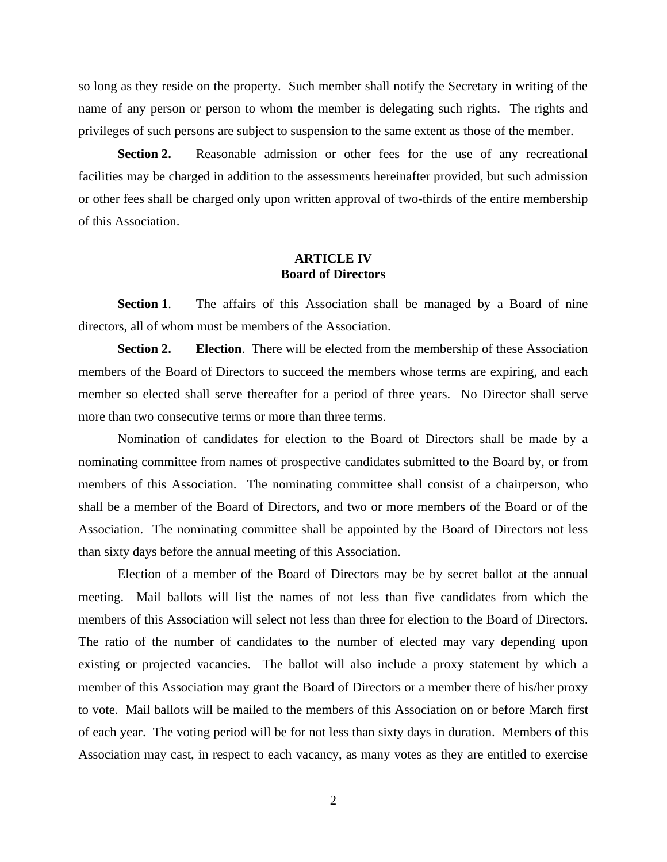so long as they reside on the property. Such member shall notify the Secretary in writing of the name of any person or person to whom the member is delegating such rights. The rights and privileges of such persons are subject to suspension to the same extent as those of the member.

**Section 2.** Reasonable admission or other fees for the use of any recreational facilities may be charged in addition to the assessments hereinafter provided, but such admission or other fees shall be charged only upon written approval of two-thirds of the entire membership of this Association.

# **ARTICLE IV Board of Directors**

**Section 1.** The affairs of this Association shall be managed by a Board of nine directors, all of whom must be members of the Association.

**Section 2. Election**. There will be elected from the membership of these Association members of the Board of Directors to succeed the members whose terms are expiring, and each member so elected shall serve thereafter for a period of three years. No Director shall serve more than two consecutive terms or more than three terms.

Nomination of candidates for election to the Board of Directors shall be made by a nominating committee from names of prospective candidates submitted to the Board by, or from members of this Association. The nominating committee shall consist of a chairperson, who shall be a member of the Board of Directors, and two or more members of the Board or of the Association. The nominating committee shall be appointed by the Board of Directors not less than sixty days before the annual meeting of this Association.

Election of a member of the Board of Directors may be by secret ballot at the annual meeting. Mail ballots will list the names of not less than five candidates from which the members of this Association will select not less than three for election to the Board of Directors. The ratio of the number of candidates to the number of elected may vary depending upon existing or projected vacancies. The ballot will also include a proxy statement by which a member of this Association may grant the Board of Directors or a member there of his/her proxy to vote. Mail ballots will be mailed to the members of this Association on or before March first of each year. The voting period will be for not less than sixty days in duration. Members of this Association may cast, in respect to each vacancy, as many votes as they are entitled to exercise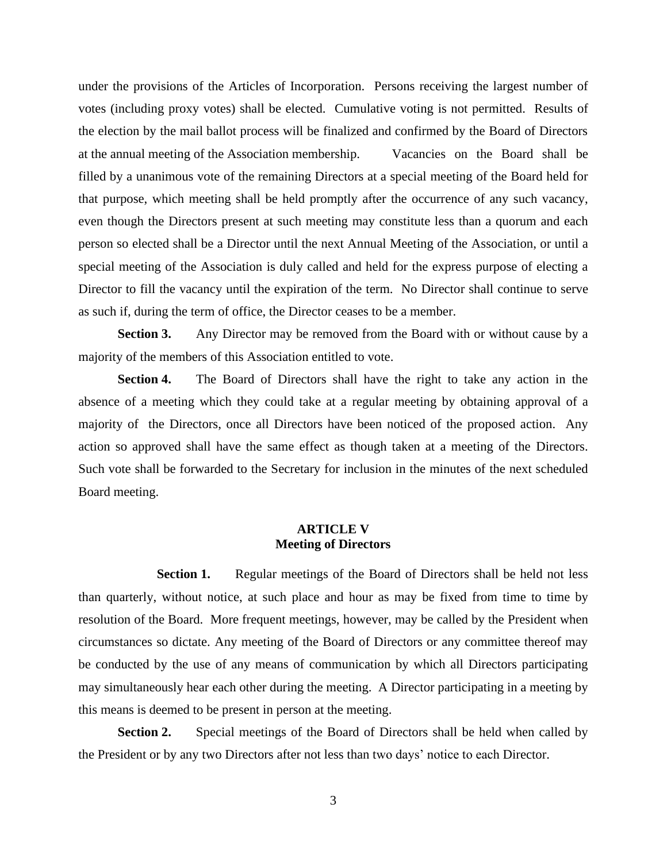under the provisions of the Articles of Incorporation. Persons receiving the largest number of votes (including proxy votes) shall be elected. Cumulative voting is not permitted. Results of the election by the mail ballot process will be finalized and confirmed by the Board of Directors at the annual meeting of the Association membership. Vacancies on the Board shall be filled by a unanimous vote of the remaining Directors at a special meeting of the Board held for that purpose, which meeting shall be held promptly after the occurrence of any such vacancy, even though the Directors present at such meeting may constitute less than a quorum and each person so elected shall be a Director until the next Annual Meeting of the Association, or until a special meeting of the Association is duly called and held for the express purpose of electing a Director to fill the vacancy until the expiration of the term. No Director shall continue to serve as such if, during the term of office, the Director ceases to be a member.

**Section 3.** Any Director may be removed from the Board with or without cause by a majority of the members of this Association entitled to vote.

**Section 4.** The Board of Directors shall have the right to take any action in the absence of a meeting which they could take at a regular meeting by obtaining approval of a majority of the Directors, once all Directors have been noticed of the proposed action. Any action so approved shall have the same effect as though taken at a meeting of the Directors. Such vote shall be forwarded to the Secretary for inclusion in the minutes of the next scheduled Board meeting.

#### **ARTICLE V Meeting of Directors**

**Section 1.** Regular meetings of the Board of Directors shall be held not less than quarterly, without notice, at such place and hour as may be fixed from time to time by resolution of the Board. More frequent meetings, however, may be called by the President when circumstances so dictate. Any meeting of the Board of Directors or any committee thereof may be conducted by the use of any means of communication by which all Directors participating may simultaneously hear each other during the meeting. A Director participating in a meeting by this means is deemed to be present in person at the meeting.

**Section 2.** Special meetings of the Board of Directors shall be held when called by the President or by any two Directors after not less than two days' notice to each Director.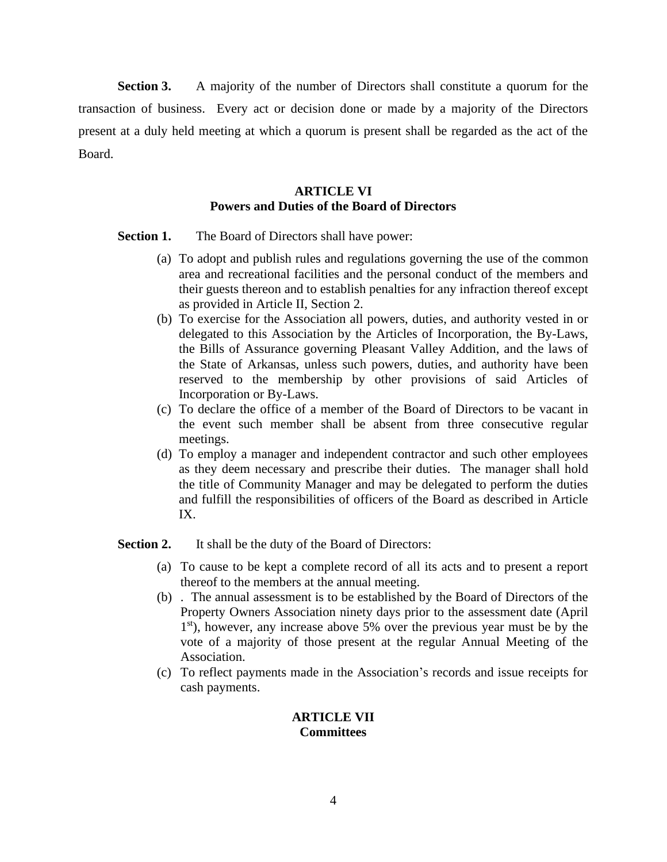**Section 3.** A majority of the number of Directors shall constitute a quorum for the transaction of business. Every act or decision done or made by a majority of the Directors present at a duly held meeting at which a quorum is present shall be regarded as the act of the Board.

# **ARTICLE VI Powers and Duties of the Board of Directors**

**Section 1.** The Board of Directors shall have power:

- (a) To adopt and publish rules and regulations governing the use of the common area and recreational facilities and the personal conduct of the members and their guests thereon and to establish penalties for any infraction thereof except as provided in Article II, Section 2.
- (b) To exercise for the Association all powers, duties, and authority vested in or delegated to this Association by the Articles of Incorporation, the By-Laws, the Bills of Assurance governing Pleasant Valley Addition, and the laws of the State of Arkansas, unless such powers, duties, and authority have been reserved to the membership by other provisions of said Articles of Incorporation or By-Laws.
- (c) To declare the office of a member of the Board of Directors to be vacant in the event such member shall be absent from three consecutive regular meetings.
- (d) To employ a manager and independent contractor and such other employees as they deem necessary and prescribe their duties. The manager shall hold the title of Community Manager and may be delegated to perform the duties and fulfill the responsibilities of officers of the Board as described in Article IX.

**Section 2.** It shall be the duty of the Board of Directors:

- (a) To cause to be kept a complete record of all its acts and to present a report thereof to the members at the annual meeting.
- (b) . The annual assessment is to be established by the Board of Directors of the Property Owners Association ninety days prior to the assessment date (April 1 st), however, any increase above 5% over the previous year must be by the vote of a majority of those present at the regular Annual Meeting of the Association.
- (c) To reflect payments made in the Association's records and issue receipts for cash payments.

#### **ARTICLE VII Committees**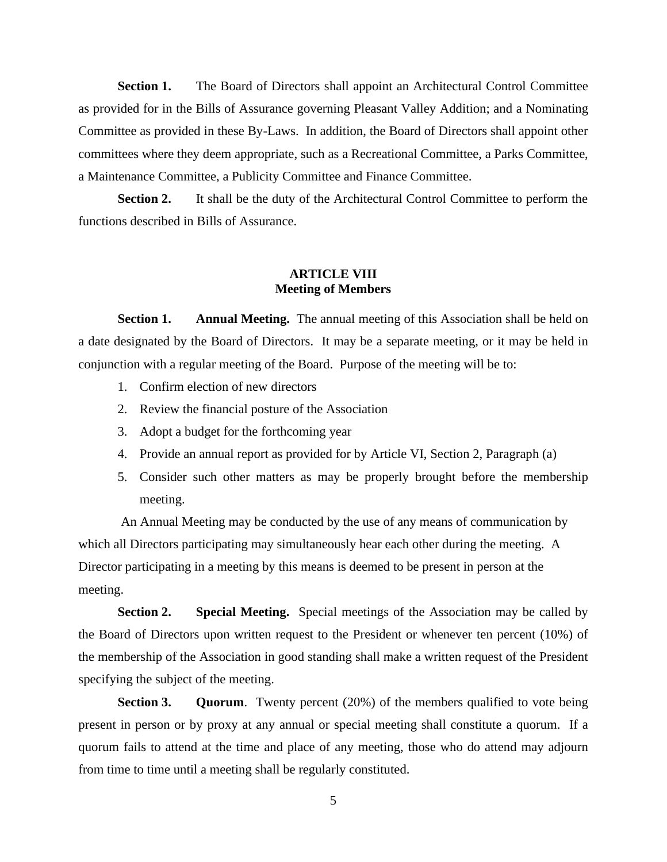**Section 1.** The Board of Directors shall appoint an Architectural Control Committee as provided for in the Bills of Assurance governing Pleasant Valley Addition; and a Nominating Committee as provided in these By-Laws. In addition, the Board of Directors shall appoint other committees where they deem appropriate, such as a Recreational Committee, a Parks Committee, a Maintenance Committee, a Publicity Committee and Finance Committee.

**Section 2.** It shall be the duty of the Architectural Control Committee to perform the functions described in Bills of Assurance.

#### **ARTICLE VIII Meeting of Members**

**Section 1. Annual Meeting.** The annual meeting of this Association shall be held on a date designated by the Board of Directors. It may be a separate meeting, or it may be held in conjunction with a regular meeting of the Board. Purpose of the meeting will be to:

- 1. Confirm election of new directors
- 2. Review the financial posture of the Association
- 3. Adopt a budget for the forthcoming year
- 4. Provide an annual report as provided for by Article VI, Section 2, Paragraph (a)
- 5. Consider such other matters as may be properly brought before the membership meeting.

An Annual Meeting may be conducted by the use of any means of communication by which all Directors participating may simultaneously hear each other during the meeting. A Director participating in a meeting by this means is deemed to be present in person at the meeting.

**Section 2. Special Meeting.** Special meetings of the Association may be called by the Board of Directors upon written request to the President or whenever ten percent (10%) of the membership of the Association in good standing shall make a written request of the President specifying the subject of the meeting.

**Section 3. Quorum**. Twenty percent (20%) of the members qualified to vote being present in person or by proxy at any annual or special meeting shall constitute a quorum. If a quorum fails to attend at the time and place of any meeting, those who do attend may adjourn from time to time until a meeting shall be regularly constituted.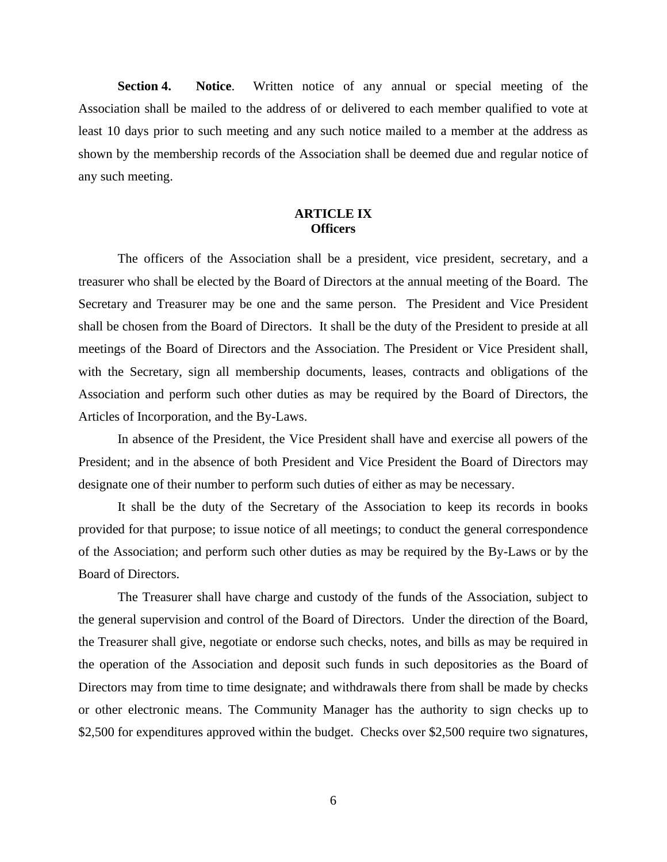**Section 4. Notice**. Written notice of any annual or special meeting of the Association shall be mailed to the address of or delivered to each member qualified to vote at least 10 days prior to such meeting and any such notice mailed to a member at the address as shown by the membership records of the Association shall be deemed due and regular notice of any such meeting.

## **ARTICLE IX Officers**

The officers of the Association shall be a president, vice president, secretary, and a treasurer who shall be elected by the Board of Directors at the annual meeting of the Board. The Secretary and Treasurer may be one and the same person. The President and Vice President shall be chosen from the Board of Directors. It shall be the duty of the President to preside at all meetings of the Board of Directors and the Association. The President or Vice President shall, with the Secretary, sign all membership documents, leases, contracts and obligations of the Association and perform such other duties as may be required by the Board of Directors, the Articles of Incorporation, and the By-Laws.

In absence of the President, the Vice President shall have and exercise all powers of the President; and in the absence of both President and Vice President the Board of Directors may designate one of their number to perform such duties of either as may be necessary.

It shall be the duty of the Secretary of the Association to keep its records in books provided for that purpose; to issue notice of all meetings; to conduct the general correspondence of the Association; and perform such other duties as may be required by the By-Laws or by the Board of Directors.

The Treasurer shall have charge and custody of the funds of the Association, subject to the general supervision and control of the Board of Directors. Under the direction of the Board, the Treasurer shall give, negotiate or endorse such checks, notes, and bills as may be required in the operation of the Association and deposit such funds in such depositories as the Board of Directors may from time to time designate; and withdrawals there from shall be made by checks or other electronic means. The Community Manager has the authority to sign checks up to \$2,500 for expenditures approved within the budget. Checks over \$2,500 require two signatures,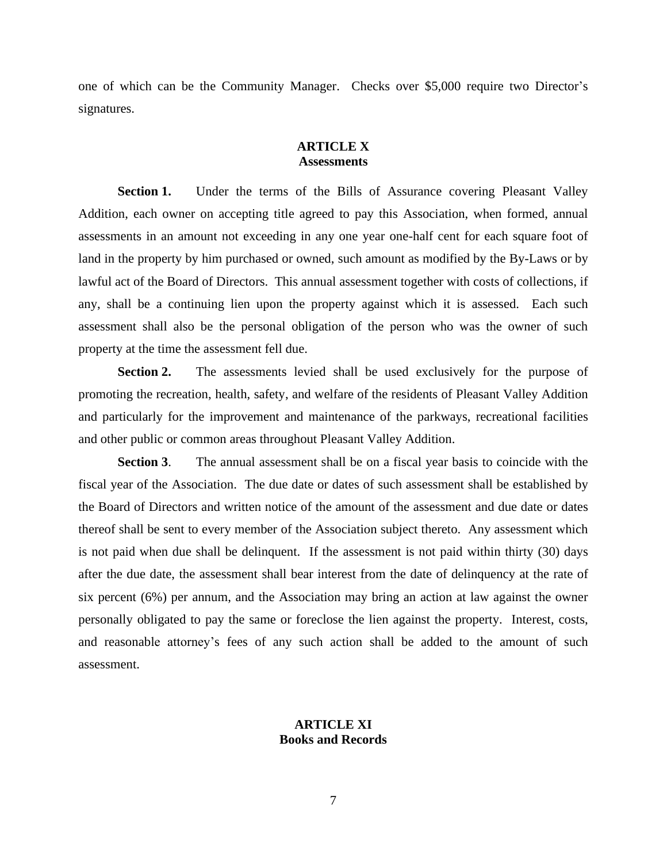one of which can be the Community Manager. Checks over \$5,000 require two Director's signatures.

#### **ARTICLE X Assessments**

Section 1. Under the terms of the Bills of Assurance covering Pleasant Valley Addition, each owner on accepting title agreed to pay this Association, when formed, annual assessments in an amount not exceeding in any one year one-half cent for each square foot of land in the property by him purchased or owned, such amount as modified by the By-Laws or by lawful act of the Board of Directors. This annual assessment together with costs of collections, if any, shall be a continuing lien upon the property against which it is assessed. Each such assessment shall also be the personal obligation of the person who was the owner of such property at the time the assessment fell due.

**Section 2.** The assessments levied shall be used exclusively for the purpose of promoting the recreation, health, safety, and welfare of the residents of Pleasant Valley Addition and particularly for the improvement and maintenance of the parkways, recreational facilities and other public or common areas throughout Pleasant Valley Addition.

**Section 3**. The annual assessment shall be on a fiscal year basis to coincide with the fiscal year of the Association. The due date or dates of such assessment shall be established by the Board of Directors and written notice of the amount of the assessment and due date or dates thereof shall be sent to every member of the Association subject thereto. Any assessment which is not paid when due shall be delinquent. If the assessment is not paid within thirty (30) days after the due date, the assessment shall bear interest from the date of delinquency at the rate of six percent (6%) per annum, and the Association may bring an action at law against the owner personally obligated to pay the same or foreclose the lien against the property. Interest, costs, and reasonable attorney's fees of any such action shall be added to the amount of such assessment.

#### **ARTICLE XI Books and Records**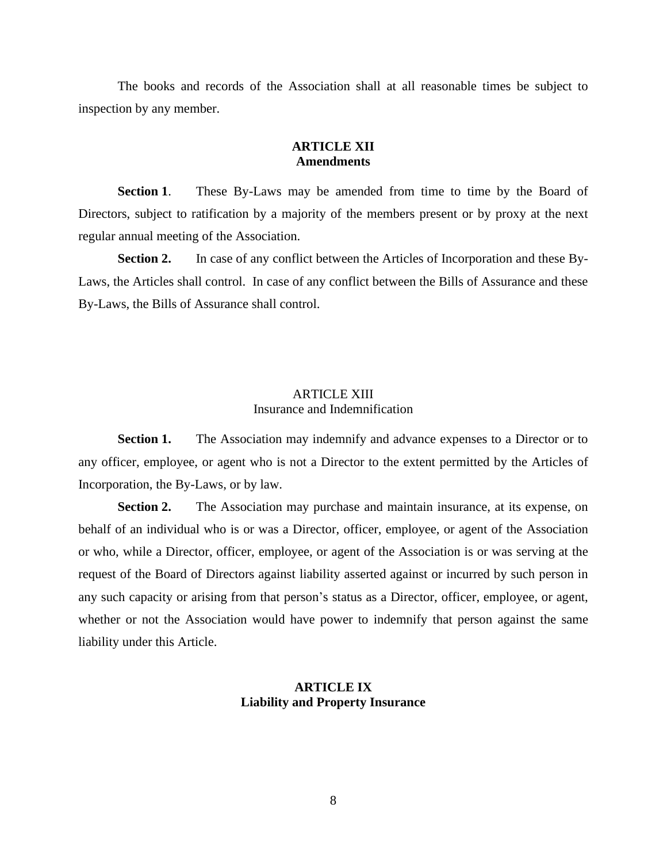The books and records of the Association shall at all reasonable times be subject to inspection by any member.

### **ARTICLE XII Amendments**

**Section 1**. These By-Laws may be amended from time to time by the Board of Directors, subject to ratification by a majority of the members present or by proxy at the next regular annual meeting of the Association.

**Section 2.** In case of any conflict between the Articles of Incorporation and these By-Laws, the Articles shall control. In case of any conflict between the Bills of Assurance and these By-Laws, the Bills of Assurance shall control.

#### ARTICLE XIII Insurance and Indemnification

**Section 1.** The Association may indemnify and advance expenses to a Director or to any officer, employee, or agent who is not a Director to the extent permitted by the Articles of Incorporation, the By-Laws, or by law.

**Section 2.** The Association may purchase and maintain insurance, at its expense, on behalf of an individual who is or was a Director, officer, employee, or agent of the Association or who, while a Director, officer, employee, or agent of the Association is or was serving at the request of the Board of Directors against liability asserted against or incurred by such person in any such capacity or arising from that person's status as a Director, officer, employee, or agent, whether or not the Association would have power to indemnify that person against the same liability under this Article.

### **ARTICLE IX Liability and Property Insurance**